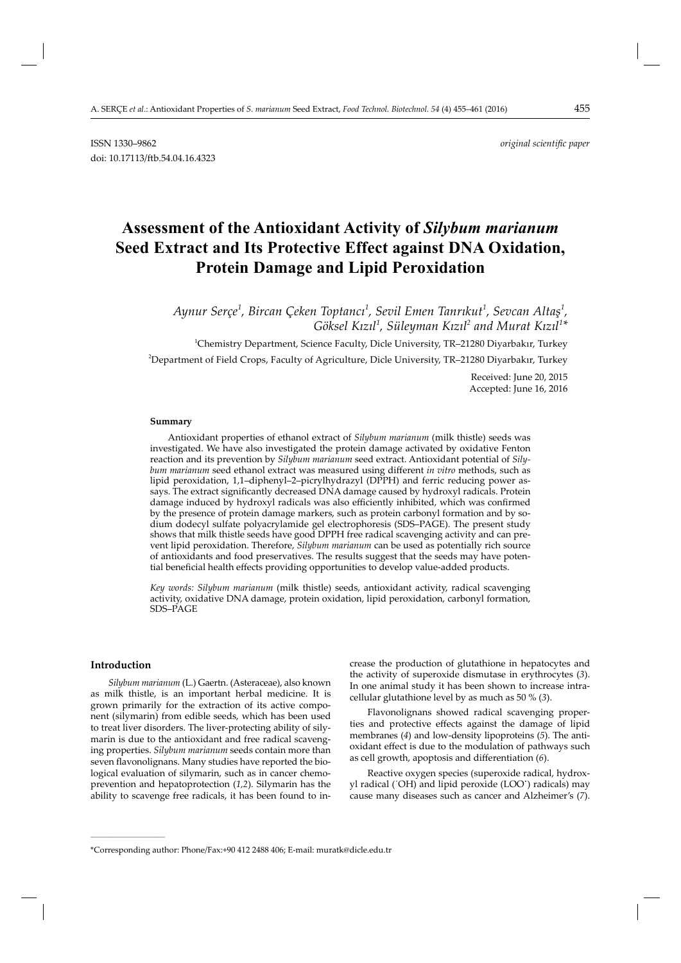ISSN 1330–9862 *original scientifi c paper* doi: 10.17113/ftb.54.04.16.4323

# **Assessment of the Antioxidant Activity of** *Silybum marianum* **Seed Extract and Its Protective Effect against DNA Oxidation, Protein Damage and Lipid Peroxidation**

Aynur Serçe<sup>1</sup>, Bircan Çeken Toptancı<sup>1</sup>, Sevil Emen Tanrıkut<sup>1</sup>, Sevcan Altaş<sup>1</sup>,  $G$ öksel Kızıl<sup>1</sup>, Süleyman Kızıl<sup>2</sup> and Murat Kızıl<sup>1</sup>\*

1 Chemistry Department, Science Faculty, Dicle University, TR–21280 Diyarbakır, Turkey

2 Department of Field Crops, Faculty of Agriculture, Dicle University, TR–21280 Diyarbakır, Turkey

Received: June 20, 2015 Accepted: June 16, 2016

#### **Summary**

Antioxidant properties of ethanol extract of *Silybum marianum* (milk thistle) seeds was investigated. We have also investigated the protein damage activated by oxidative Fenton reaction and its prevention by *Silybum marianum* seed extract. Antioxidant potential of *Silybum marianum* seed ethanol extract was measured using different *in vitro* methods, such as lipid peroxidation, 1,1–diphenyl–2–picrylhydrazyl (DPPH) and ferric reducing power assays. The extract significantly decreased DNA damage caused by hydroxyl radicals. Protein damage induced by hydroxyl radicals was also efficiently inhibited, which was confirmed by the presence of protein damage markers, such as protein carbonyl formation and by sodium dodecyl sulfate polyacrylamide gel electrophoresis (SDS–PAGE). The present study shows that milk thistle seeds have good DPPH free radical scavenging activity and can prevent lipid peroxidation. Therefore, *Silybum marianum* can be used as potentially rich source of antioxidants and food preservatives. The results suggest that the seeds may have potential beneficial health effects providing opportunities to develop value-added products.

*Key words: Silybum marianum* (milk thistle) seeds, antioxidant activity, radical scavenging activity, oxidative DNA damage, protein oxidation, lipid peroxidation, carbonyl formation, SDS–PAGE

## **Introduction**

**\_\_\_\_\_\_\_\_\_\_\_\_\_\_\_\_\_\_\_\_\_\_\_\_\_\_\_\_\_\_**

*Silybum marianum* (L.) Gaertn. (Asteraceae), also known as milk thistle, is an important herbal medicine. It is grown primarily for the extraction of its active component (silymarin) from edible seeds, which has been used to treat liver disorders. The liver-protecting ability of silymarin is due to the antioxidant and free radical scavenging properties. *Silybum marianum* seeds contain more than seven flavonolignans. Many studies have reported the biological evaluation of silymarin, such as in cancer chemoprevention and hepatoprotection (*1,2*). Silymarin has the ability to scavenge free radicals, it has been found to increase the production of glutathione in hepatocytes and the activity of superoxide dismutase in erythrocytes (*3*). In one animal study it has been shown to increase intracellular glutathione level by as much as 50 % (3).

Flavonolignans showed radical scavenging properties and protective effects against the damage of lipid membranes (*4*) and low-density lipoproteins (*5*). The antioxidant effect is due to the modulation of pathways such as cell growth, apoptosis and differentiation (6).

Reactive oxygen species (superoxide radical, hydroxyl radical (˙OH) and lipid peroxide (LOO**˙**) radicals) may cause many diseases such as cancer and Alzheimer's (*7*).

<sup>\*</sup>Corresponding author: Phone/Fax:+90 412 2488 406; E-mail: muratk@dicle.edu.tr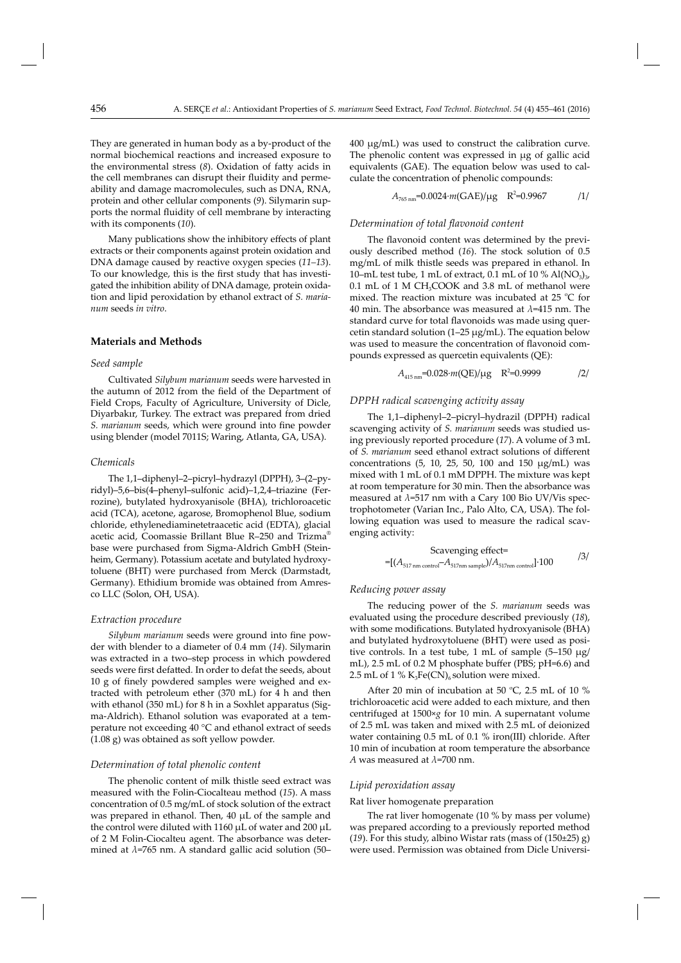They are generated in human body as a by-product of the normal biochemical reactions and increased exposure to the environmental stress (8). Oxidation of fatty acids in the cell membranes can disrupt their fluidity and permeability and damage macromolecules, such as DNA, RNA, protein and other cellular components (*9*). Silymarin supports the normal fluidity of cell membrane by interacting with its components (*10*).

Many publications show the inhibitory effects of plant extracts or their components against protein oxidation and DNA damage caused by reactive oxygen species (*11–13*). To our knowledge, this is the first study that has investigated the inhibition ability of DNA damage, protein oxidation and lipid peroxidation by ethanol extract of *S. marianum* seeds *in vitro*.

# **Materials and Methods**

## *Seed sample*

Cultivated *Silybum marianum* seeds were harvested in the autumn of 2012 from the field of the Department of Field Crops, Faculty of Agriculture, University of Dicle, Diyarbakır, Turkey. The extract was prepared from dried *S. marianum* seeds, which were ground into fine powder using blender (model 7011S; Waring, Atlanta, GA, USA).

### *Chemicals*

The 1,1–diphenyl–2–picryl–hydrazyl (DPPH), 3–(2–pyridyl)–5,6–bis(4–phenyl–sulfonic acid)–1,2,4–triazine (Fer rozine), butylated hydroxyanisole (BHA), trichloroacetic acid (TCA), acetone, agarose, Bromophenol Blue, sodium chloride, ethylenediaminetetraacetic acid (EDTA), glacial acetic acid, Coomassie Brillant Blue R–250 and Trizma® base were purchased from Sigma-Aldrich GmbH (Steinheim, Germany). Potassium acetate and butylated hydroxytoluene (BHT) were purchased from Merck (Darmstadt, Germany). Ethidium bromide was obtained from Amresco LLC (Solon, OH, USA).

#### *Extraction procedure*

*Silybum marianum* seeds were ground into fine powder with blender to a diameter of 0.4 mm (*14*). Silymarin was extracted in a two–step process in which powdered seeds were first defatted. In order to defat the seeds, about 10 g of finely powdered samples were weighed and extracted with petroleum ether (370 mL) for 4 h and then with ethanol (350 mL) for 8 h in a Soxhlet apparatus (Sigma-Aldrich). Ethanol solution was evaporated at a temperature not exceeding 40 °C and ethanol extract of seeds (1.08 g) was obtained as soft yellow powder.

#### *Determination of total phenolic content*

The phenolic content of milk thistle seed extract was measured with the Folin-Ciocalteau method (*15*). A mass concentration of 0.5 mg/mL of stock solution of the extract was prepared in ethanol. Then, 40 μL of the sample and the control were diluted with 1160 μL of water and 200 μL of 2 M Folin-Ciocalteu agent. The absorbance was determined at *λ*=765 nm. A standard gallic acid solution (50–

400 μg/mL) was used to construct the calibration curve. The phenolic content was expressed in μg of gallic acid equivalents (GAE). The equation below was used to calculate the concentration of phenolic compounds:

$$
A_{765\,\text{nm}} = 0.0024 \cdot m(\text{GAE})/\mu\text{g} \quad \text{R}^2 = 0.9967 \quad /1/
$$

# Determination of total flavonoid content

The flavonoid content was determined by the previously described method (*16*). The stock solution of 0.5 mg/mL of milk thistle seeds was prepared in ethanol. In 10–mL test tube, 1 mL of extract, 0.1 mL of 10 % Al(NO<sub>3</sub>)<sub>3</sub>,  $0.1$  mL of 1 M CH<sub>3</sub>COOK and 3.8 mL of methanol were mixed. The reaction mixture was incubated at 25  $\degree$ C for 40 min. The absorbance was measured at *λ*=415 nm. The standard curve for total flavonoids was made using quercetin standard solution (1–25 μg/mL). The equation below was used to measure the concentration of flavonoid compounds expressed as quercetin equivalents (QE):

$$
A_{415\,\text{nm}} = 0.028 \cdot m(\text{QE})/\mu\text{g} \quad \text{R}^2 = 0.9999 \tag{2}
$$

# *DPPH radical scavenging activity assay*

The 1,1–diphenyl–2–picryl–hydrazil (DPPH) radical scavenging activity of *S. marianum* seeds was studied using previously reported procedure (*17*). A volume of 3 mL of *S. marianum* seed ethanol extract solutions of different concentrations (5, 10, 25, 50, 100 and 150 μg/mL) was mixed with 1 mL of 0.1 mM DPPH. The mixture was kept at room temperature for 30 min. Then the absorbance was measured at *λ*=517 nm with a Cary 100 Bio UV/Vis spectrophotometer (Varian Inc., Palo Alto, CA, USA). The following equation was used to measure the radical scavenging activity:

Scavenging effect=  
=
$$
[(A_{517 \text{ nm control}}-A_{517 \text{ nm sample}})/A_{517 \text{ nm control}}]\cdot 100
$$

#### *Reducing power assay*

The reducing power of the *S. marianum* seeds was evaluated using the procedure described previously (18), with some modifications. Butylated hydroxyanisole (BHA) and butylated hydroxytoluene (BHT) were used as positive controls. In a test tube, 1 mL of sample (5–150 μg/ mL), 2.5 mL of 0.2 M phosphate buffer (PBS;  $pH=6.6$ ) and 2.5 mL of 1 %  $K_3Fe(CN)_6$  solution were mixed.

After 20 min of incubation at 50  $^{\circ}$ C, 2.5 mL of 10 % trichloroacetic acid were added to each mixture, and then centrifuged at 1500×*g* for 10 min. A supernatant volume of 2.5 mL was taken and mixed with 2.5 mL of deionized water containing  $0.5$  mL of  $0.1$  % iron(III) chloride. After 10 min of incubation at room temperature the absorbance *A* was measured at *λ*=700 nm.

## *Lipid peroxidation assay*

#### Rat liver homogenate preparation

The rat liver homogenate (10 % by mass per volume) was prepared according to a previously reported method (*19*). For this study, albino Wistar rats (mass of (150±25) g) were used. Permission was obtained from Dicle Universi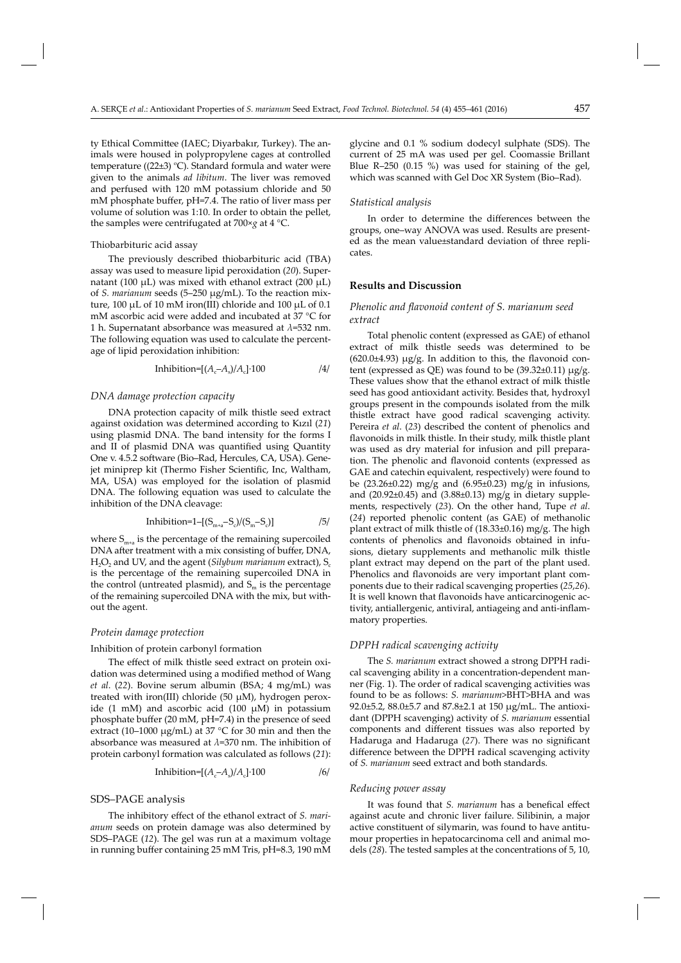ty Ethical Committee (IAEC; Diyarbakır, Turkey). The animals were housed in polypropylene cages at controlled temperature ( $(22\pm3)$  °C). Standard formula and water were given to the animals *ad libitum*. The liver was removed and perfused with 120 mM potassium chloride and 50 mM phosphate buffer, pH=7.4. The ratio of liver mass per volume of solution was 1:10. In order to obtain the pellet, the samples were centrifugated at 700×*g* at 4 °C.

#### Thiobarbituric acid assay

The previously described thiobarbituric acid (TBA) assay was used to measure lipid peroxidation (*20*). Supernatant (100 μL) was mixed with ethanol extract (200 μL) of *S. marianum* seeds (5–250 μg/mL). To the reaction mixture, 100 μL of 10 mM iron(III) chloride and 100 μL of 0.1 mM ascorbic acid were added and incubated at 37 °C for 1 h. Supernatant absorbance was measured at *λ*=532 nm. The following equation was used to calculate the percentage of lipid peroxidation inhibition:

$$
Inhibition=[(A_c-A_s)/A_c]\cdot 100 \tag{4}
$$

#### *DNA damage protection capacity*

DNA protection capacity of milk thistle seed extract against oxidation was determined according to Kızıl (*21*) using plasmid DNA. The band intensity for the forms I and II of plasmid DNA was quantified using Quantity One v. 4.5.2 software (Bio-Rad, Hercules, CA, USA). Genejet miniprep kit (Thermo Fisher Scientific, Inc, Waltham, MA, USA) was employed for the isolation of plasmid DNA. The following equation was used to calculate the inhibition of the DNA cleavage:

Inhibition=1-[(S<sub>m+a</sub>-S<sub>c</sub>)/(S<sub>m</sub>-S<sub>c</sub>)] 
$$
\qquad \qquad
$$
 /5/

where  $S_{m+1}$  is the percentage of the remaining supercoiled DNA after treatment with a mix consisting of buffer, DNA,  $H_2O_2$  and UV, and the agent (*Silybum marianum* extract),  $S_c$ is the percentage of the remaining supercoiled DNA in the control (untreated plasmid), and  $S_m$  is the percentage of the remaining supercoiled DNA with the mix, but without the agent.

## *Protein damage protection*

#### Inhibition of protein carbonyl formation

The effect of milk thistle seed extract on protein oxidation was determined using a modified method of Wang *et al*. (*22*). Bovine serum albumin (BSA; 4 mg/mL) was treated with iron(III) chloride (50 μM), hydrogen peroxide (1 mM) and ascorbic acid (100  $\mu$ M) in potassium phosphate buffer (20 mM,  $pH=7.4$ ) in the presence of seed extract (10–1000 μg/mL) at 37 °C for 30 min and then the absorbance was measured at *λ*=370 nm. The inhibition of protein carbonyl formation was calculated as follows (*21*):

$$
Inhibition=[(A_c-A_s)/A_c]\cdot 100
$$

#### SDS–PAGE analysis

The inhibitory effect of the ethanol extract of *S. marianum* seeds on protein damage was also determined by SDS–PAGE (*12*). The gel was run at a maximum voltage in running buffer containing 25 mM Tris, pH=8.3, 190 mM glycine and 0.1 % sodium dodecyl sulphate (SDS). The current of 25 mA was used per gel. Coomassie Brillant Blue R–250 (0.15 %) was used for staining of the gel, which was scanned with Gel Doc XR System (Bio–Rad).

#### *Statistical analysis*

In order to determine the differences between the groups, one–way ANOVA was used. Results are presented as the mean value±standard deviation of three replicates.

# **Results and Discussion**

# *Phenolic and flavonoid content of S. marianum seed extract*

Total phenolic content (expressed as GAE) of ethanol extract of milk thistle seeds was determined to be  $(620.0±4.93) \mu g/g$ . In addition to this, the flavonoid content (expressed as QE) was found to be  $(39.32\pm0.11) \mu g/g$ . These values show that the ethanol extract of milk thistle seed has good antioxidant activity. Besides that, hydroxyl groups present in the compounds isolated from the milk thistle extract have good radical scavenging activity. Pereira *et al*. (*23*) described the content of phenolics and flavonoids in milk thistle. In their study, milk thistle plant was used as dry material for infusion and pill preparation. The phenolic and flavonoid contents (expressed as GAE and catechin equivalent, respectively) were found to be (23.26±0.22) mg/g and (6.95±0.23) mg/g in infusions, and (20.92±0.45) and (3.88±0.13) mg/g in dietary supplements, respectively (*23*). On the other hand, Tupe *et al*. (*24*) reported phenolic content (as GAE) of methanolic plant extract of milk thistle of (18.33±0.16) mg/g. The high contents of phenolics and flavonoids obtained in infusions, dietary supplements and methanolic milk thistle plant extract may depend on the part of the plant used. Phenolics and flavonoids are very important plant components due to their radical scavenging properties (*25*,*26*). It is well known that flavonoids have anticarcinogenic activity, antiallergenic, antiviral, antiageing and anti-inflammatory properties.

## *DPPH radical scavenging activity*

The *S. marianum* extract showed a strong DPPH radical scavenging ability in a concentration-dependent manner (Fig. 1). The order of radical scavenging activities was found to be as follows: *S. marianum*>BHT>BHA and was 92.0±5.2, 88.0±5.7 and 87.8±2.1 at 150 μg/mL. The antioxidant (DPPH scavenging) activity of *S. marianum* essential components and different tissues was also reported by Hadaruga and Hadaruga (27). There was no significant difference between the DPPH radical scavenging activity of *S. marianum* seed extract and both standards.

#### *Reducing power assay*

It was found that *S. marianum* has a benefical effect against acute and chronic liver failure. Silibinin, a major active constituent of silymarin, was found to have antitumour properties in hepatocarcinoma cell and animal models (*28*). The tested samples at the concentrations of 5, 10,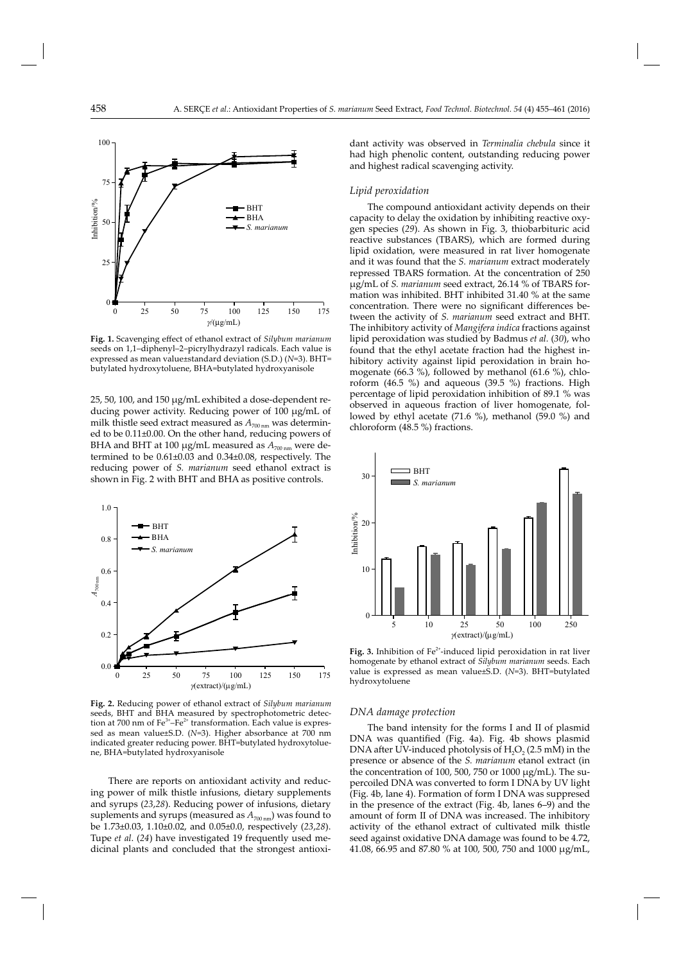

Fig. 1. Scavenging effect of ethanol extract of *Silybum marianum* seeds on 1,1–diphenyl–2–picrylhydrazyl radicals. Each value is expressed as mean value±standard deviation (S.D.) (*N*=3). BHT= butylated hydroxytoluene, BHA=butylated hydroxyanisole

25, 50, 100, and 150 μg/mL exhibited a dose-dependent reducing power activity. Reducing power of 100 μg/mL of milk thistle seed extract measured as  $A_{700 \text{ nm}}$  was determined to be 0.11±0.00. On the other hand, reducing powers of BHA and BHT at 100 μg/mL measured as  $A_{700 \text{ nm}}$  were determined to be 0.61±0.03 and 0.34±0.08, respectively. The reducing power of *S. marianum* seed ethanol extract is shown in Fig. 2 with BHT and BHA as positive controls.



**Fig. 2.** Reducing power of ethanol extract of *Silybum marianum* seeds, BHT and BHA measured by spectrophotometric detection at 700 nm of  $Fe^{3+}-Fe^{2+}$  transformation. Each value is expressed as mean value±S.D. (*N*=3). Higher absorbance at 700 nm indicated greater reducing power. BHT=butylated hydroxytoluene, BHA=butylated hydroxyanisole

There are reports on antioxidant activity and reducing power of milk thistle infusions, dietary supplements and syrups (*23*,*28*). Reducing power of infusions, dietary suplements and syrups (measured as  $A_{700 \text{ nm}}$ ) was found to be 1.73±0.03, 1.10±0.02, and 0.05±0.0, respectively (*23*,*28*). Tupe *et al*. (*24*) have investigated 19 frequently used medicinal plants and concluded that the strongest antioxidant activity was observed in *Terminalia chebula* since it had high phenolic content, outstanding reducing power and highest radical scavenging activity.

#### *Lipid peroxidation*

The compound antioxidant activity depends on their capacity to delay the oxidation by inhibiting reactive oxygen species (*29*). As shown in Fig. 3, thiobarbituric acid reactive substances (TBARS), which are formed during lipid oxidation, were measured in rat liver homogenate and it was found that the *S. marianum* extract moderately repressed TBARS formation. At the concentration of 250 μg/mL of *S. marianum* seed extract, 26.14 % of TBARS formation was inhibited. BHT inhibited 31.40 % at the same concentration. There were no significant differences between the activity of *S. marianum* seed extract and BHT. The inhibitory activity of *Mangifera indica* fractions against lipid peroxidation was studied by Badmus *et al.* (*30*), who found that the ethyl acetate fraction had the highest inhibitory activity against lipid peroxidation in brain homogenate (66.3 %), followed by methanol (61.6 %), chloroform (46.5 %) and aqueous (39.5 %) fractions. High percentage of lipid peroxidation inhibition of 89.1 % was observed in aqueous fraction of liver homogenate, followed by ethyl acetate (71.6 %), methanol (59.0 %) and chloroform (48.5 %) fractions.



Fig. 3. Inhibition of Fe<sup>2+</sup>-induced lipid peroxidation in rat liver homogenate by ethanol extract of *Silybum marianum* seeds. Each value is expressed as mean value±S.D. (*N*=3). BHT=butylated hydroxytoluene

#### *DNA damage protection*

The band intensity for the forms I and II of plasmid DNA was quantified (Fig. 4a). Fig. 4b shows plasmid DNA after UV-induced photolysis of  $H_2O_2$  (2.5 mM) in the presence or absence of the *S. marianum* etanol extract (in the concentration of 100, 500, 750 or 1000  $\mu$ g/mL). The supercoiled DNA was converted to form I DNA by UV light (Fig. 4b, lane 4). Formation of form I DNA was suppresed in the presence of the extract (Fig. 4b, lanes 6–9) and the amount of form II of DNA was increased. The inhibitory activity of the ethanol extract of cultivated milk thistle seed against oxidative DNA damage was found to be 4.72, 41.08, 66.95 and 87.80 % at 100, 500, 750 and 1000 μg/mL,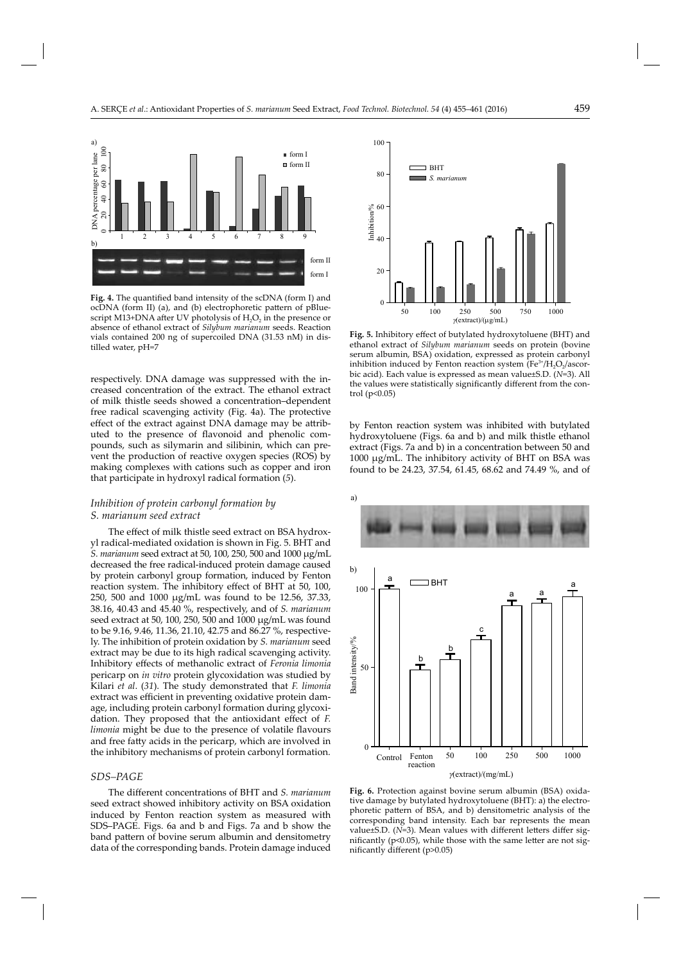

Fig. 4. The quantified band intensity of the scDNA (form I) and ocDNA (form II) (a), and (b) electrophoretic pattern of pBluescript M13+DNA after UV photolysis of  $H_2O_2$  in the presence or absence of ethanol extract of *Silybum marianum* seeds. Reaction vials contained 200 ng of supercoiled DNA (31.53 nM) in distilled water, pH=7

respectively. DNA damage was suppressed with the increased concentration of the extract. The ethanol extract of milk thistle seeds showed a concentration–dependent free radical scavenging activity (Fig. 4a). The protective effect of the extract against DNA damage may be attributed to the presence of flavonoid and phenolic compounds, such as silymarin and silibinin, which can prevent the production of reactive oxygen species (ROS) by making complexes with cations such as copper and iron that participate in hydroxyl radical formation (*5*).

# *Inhibition of protein carbonyl formation by S. marianum seed extract*

The effect of milk thistle seed extract on BSA hydroxyl radical-mediated oxidation is shown in Fig. 5. BHT and *S. marianum* seed extract at 50, 100, 250, 500 and 1000 μg/mL decreased the free radical-induced protein damage caused by protein carbonyl group formation, induced by Fenton reaction system. The inhibitory effect of BHT at 50, 100, 250, 500 and 1000 μg/mL was found to be 12.56, 37.33, 38.16, 40.43 and 45.40 %, respectively, and of *S. marianum* seed extract at 50, 100, 250, 500 and 1000 μg/mL was found to be 9.16, 9.46, 11.36, 21.10, 42.75 and 86.27 %, respectively. The inhibition of protein oxidation by *S. marianum* seed extract may be due to its high radical scavenging activity. Inhibitory effects of methanolic extract of *Feronia limonia* pericarp on *in vitro* protein glycoxidation was studied by Kilari *et al*. (*31*). The study demonstrated that *F. limonia* extract was efficient in preventing oxidative protein damage, including protein carbonyl formation during glycoxidation. They proposed that the antioxidant effect of *F*. *limonia* might be due to the presence of volatile flavours and free fatty acids in the pericarp, which are involved in the inhibitory mechanisms of protein carbonyl formation.

# *SDS–PAGE*

The different concentrations of BHT and *S. marianum* seed extract showed inhibitory activity on BSA oxidation induced by Fenton reaction system as measured with SDS–PAGE. Figs. 6a and b and Figs. 7a and b show the band pattern of bovine serum albumin and densitometry data of the corresponding bands. Protein damage induced



Fig. 5. Inhibitory effect of butylated hydroxytoluene (BHT) and ethanol extract of *Silybum marianum* seeds on protein (bovine serum albumin, BSA) oxidation, expressed as protein carbonyl inhibition induced by Fenton reaction system  $(Fe<sup>3+</sup>/H<sub>2</sub>O<sub>2</sub>/ascor$ bic acid). Each value is expressed as mean value±S.D. (*N*=3). All the values were statistically significantly different from the control (p<0.05)

by Fenton reaction system was inhibited with butylated hydroxytoluene (Figs. 6a and b) and milk thistle ethanol extract (Figs. 7a and b) in a concentration between 50 and 1000 μg/mL. The inhibitory activity of BHT on BSA was found to be 24.23, 37.54, 61.45, 68.62 and 74.49 %, and of



**Fig. 6.** Protection against bovine serum albumin (BSA) oxidative damage by butylated hydroxytoluene (BHT): a) the electrophoretic pattern of BSA, and b) densitometric analysis of the corresponding band intensity. Each bar represents the mean value±S.D. (N=3). Mean values with different letters differ significantly ( $p<0.05$ ), while those with the same letter are not significantly different (p>0.05)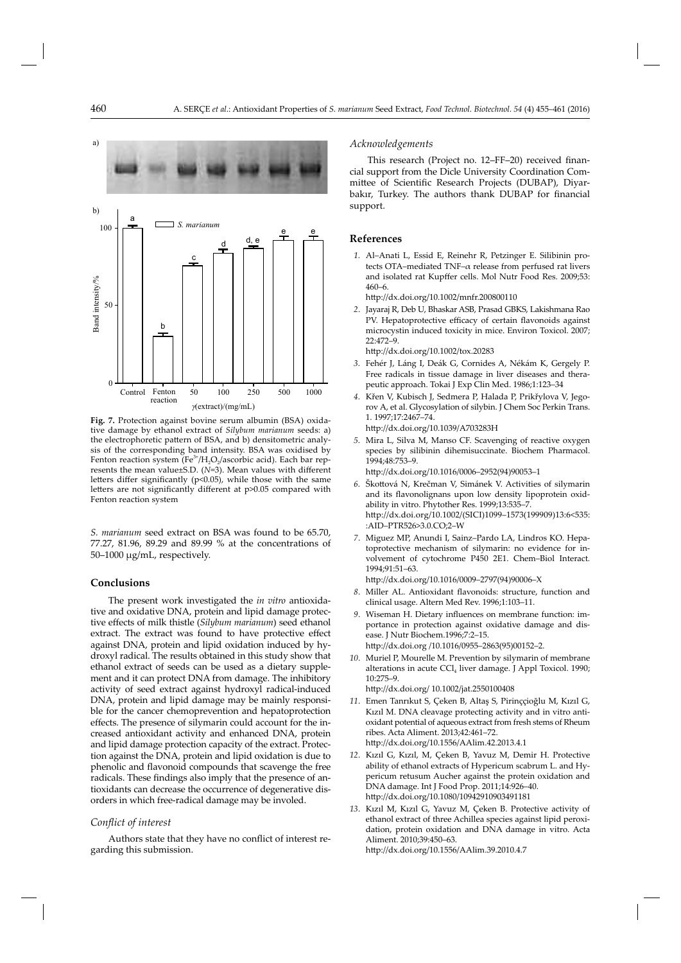

**Fig. 7.** Protection against bovine serum albumin (BSA) oxidative damage by ethanol extract of *Silybum marianum* seeds: a) the electrophoretic pattern of BSA, and b) densitometric analysis of the corresponding band intensity. BSA was oxidised by Fenton reaction system (Fe<sup>3+</sup>/H<sub>2</sub>O<sub>2</sub>/ascorbic acid). Each bar represents the mean value $\pm$ S.D. ( $N=3$ ). Mean values with different letters differ significantly ( $p$ <0.05), while those with the same letters are not significantly different at  $p$  >0.05 compared with Fenton reaction system

*S. marianum* seed extract on BSA was found to be 65.70, 77.27, 81.96, 89.29 and 89.99 % at the concentrations of 50–1000 μg/mL, respectively.

# **Conclusions**

The present work investigated the *in vitro* antioxidative and oxidative DNA, protein and lipid damage protective effects of milk thistle (*Silybum marianum*) seed ethanol extract. The extract was found to have protective effect against DNA, protein and lipid oxidation induced by hydroxyl radical. The results obtained in this study show that ethanol extract of seeds can be used as a dietary supplement and it can protect DNA from damage. The inhibitory activity of seed extract against hydroxyl radical-induced DNA, protein and lipid damage may be mainly responsible for the cancer chemoprevention and hepatoprotection effects. The presence of silymarin could account for the increased antioxidant activity and enhanced DNA, protein and lipid damage protection capacity of the extract. Protection against the DNA, protein and lipid oxidation is due to phenolic and flavonoid compounds that scavenge the free radicals. These findings also imply that the presence of antioxidants can decrease the occurrence of degenerative disorders in which free-radical damage may be involed.

# *Confl ict of interest*

Authors state that they have no conflict of interest regarding this submission.

## *Acknowledgements*

This research (Project no. 12–FF–20) received financial support from the Dicle University Coordination Committee of Scientific Research Projects (DUBAP), Diyarbakır, Turkey. The authors thank DUBAP for financial support.

### **References**

 *1.* Al–Anati L, Essid E, Reinehr R, Petzinger E. Silibinin protects OTA–mediated TNF–α release from perfused rat livers and isolated rat Kupffer cells. Mol Nutr Food Res. 2009;53: 460–6.

http://dx.doi.org/10.1002/mnfr.200800110

 *2*. Jayaraj R, Deb U, Bhaskar ASB, Prasad GBKS, Lakishmana Rao PV. Hepatoprotective efficacy of certain flavonoids against microcystin induced toxicity in mice. Environ Toxicol. 2007; 22:472–9.

http://dx.doi.org/10.1002/tox.20283

- *3*. Fehér J, Láng I, Deák G, Cornides A, Nékám K, Gergely P. Free radicals in tissue damage in liver diseases and therapeutic approach. Tokai J Exp Clin Med. 1986;1:123–34
- *4*. Křen V, Kubisch J, Sedmera P, Halada P, Prikřylova V, Jegorov A, et al. Glycosylation of silybin. J Chem Soc Perkin Trans. 1. 1997;17:2467–74.

http://dx.doi.org/10.1039/A703283H

 *5*. Mira L, Silva M, Manso CF. Scavenging of reactive oxygen species by silibinin dihemisuccinate. Biochem Pharmacol. 1994;48:753–9.

http://dx.doi.org/10.1016/0006-2952(94)90053-1

- *6*. Škott ová N, Krečman V, Simánek V. Activities of silymarin and its flavonolignans upon low density lipoprotein oxidability in vitro. Phytother Res. 1999;13:535–7. http://dx.doi.org/10.1002/(SICI)1099-1573(199909)13:6<535: :AID–PTR526>3.0.CO;2–W
- *7*. Miguez MP, Anundi I, Sainz–Pardo LA, Lindros KO. Hepatoprotective mechanism of silymarin: no evidence for involvement of cytochrome P450 2E1. Chem–Biol Interact*.* 1994;91:51–63.

http://dx.doi.org/10.1016/0009-2797(94)90006-X

- 8. Miller AL. Antioxidant flavonoids: structure, function and clinical usage. Altern Med Rev. 1996;1:103–11.
- 9. Wiseman H. Dietary influences on membrane function: importance in protection against oxidative damage and disease. J Nutr Biochem.1996;7:2–15. http://dx.doi.org /10.1016/0955-2863(95)00152-2.
- *10*. Muriel P, Mourelle M. Prevention by silymarin of membrane alterations in acute  $CCl_4$  liver damage. J Appl Toxicol. 1990;  $10.275 - 9$

http://dx.doi.org/ 10.1002/jat.2550100408

- *11*. Emen Tanrıkut S, Çeken B, Altaş S, Pirinççioğlu M, Kızıl G, Kızıl M. DNA cleavage protecting activity and in vitro antioxidant potential of aqueous extract from fresh stems of Rheum ribes. Acta Aliment. 2013;42:461–72. http://dx.doi.org/10.1556/AAlim.42.2013.4.1
- *12*. Kızıl G, Kızıl, M, Çeken B, Yavuz M, Demir H. Protective ability of ethanol extracts of Hypericum scabrum L. and Hypericum retusum Aucher against the protein oxidation and DNA damage. Int J Food Prop. 2011;14:926–40. http://dx.doi.org/10.1080/10942910903491181
- *13*. Kızıl M, Kızıl G, Yavuz M, Çeken B. Protective activity of ethanol extract of three Achillea species against lipid peroxidation, protein oxidation and DNA damage in vitro. Acta Aliment. 2010;39:450–63.

http://dx.doi.org/10.1556/AAlim.39.2010.4.7